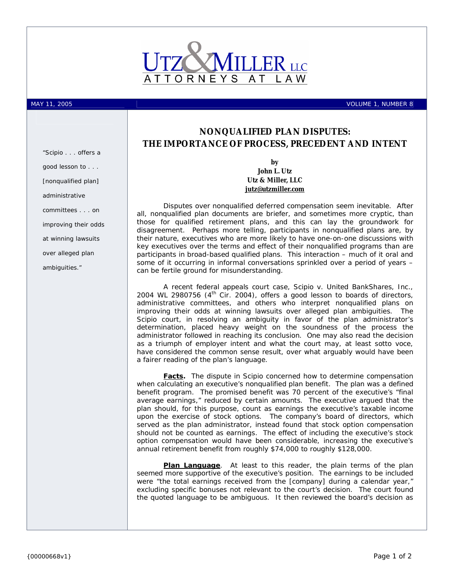

MAY 11, 2005 VOLUME 1, NUMBER 8

## **NONQUALIFIED PLAN DISPUTES: THE IMPORTANCE OF PROCESS, PRECEDENT AND INTENT**

**by John L. Utz Utz & Miller, LLC [jutz@utzmiller.com](mailto:jutz@utzmiller.com)**

Disputes over nonqualified deferred compensation seem inevitable. After all, nonqualified plan documents are briefer, and sometimes more cryptic, than those for qualified retirement plans, and this can lay the groundwork for disagreement. Perhaps more telling, participants in nonqualified plans are, by their nature, executives who are more likely to have one-on-one discussions with key executives over the terms and effect of their nonqualified programs than are participants in broad-based qualified plans. This interaction – much of it oral and some of it occurring in informal conversations sprinkled over a period of years – can be fertile ground for misunderstanding.

A recent federal appeals court case, *Scipio v. United BankShares, Inc.*, 2004 WL 2980756  $(4<sup>th</sup>$  Cir. 2004), offers a good lesson to boards of directors, administrative committees, and others who interpret nonqualified plans on improving their odds at winning lawsuits over alleged plan ambiguities. The *Scipio* court, in resolving an ambiguity in favor of the plan administrator's determination, placed heavy weight on the soundness of the process the administrator followed in reaching its conclusion. One may also read the decision as a triumph of employer intent and what the court may, at least *sotto voce*, have considered the common sense result, over what arguably would have been a fairer reading of the plan's language.

**Facts.** The dispute in *Scipio* concerned how to determine compensation when calculating an executive's nonqualified plan benefit. The plan was a defined benefit program. The promised benefit was 70 percent of the executive's "final average earnings," reduced by certain amounts. The executive argued that the plan should, for this purpose, count as earnings the executive's taxable income upon the exercise of stock options. The company's board of directors, which served as the plan administrator, instead found that stock option compensation should not be counted as earnings. The effect of including the executive's stock option compensation would have been considerable, increasing the executive's annual retirement benefit from roughly \$74,000 to roughly \$128,000.

**Plan Language**. At least to this reader, the plain terms of the plan seemed more supportive of the executive's position. The earnings to be included were "the total earnings received from the [company] during a calendar year," excluding specific bonuses not relevant to the court's decision. The court found the quoted language to be ambiguous. It then reviewed the board's decision as

*"*Scipio . . . *offers a good lesson to . . . [nonqualified plan] administrative committees . . . on improving their odds at winning lawsuits over alleged plan ambiguities."*